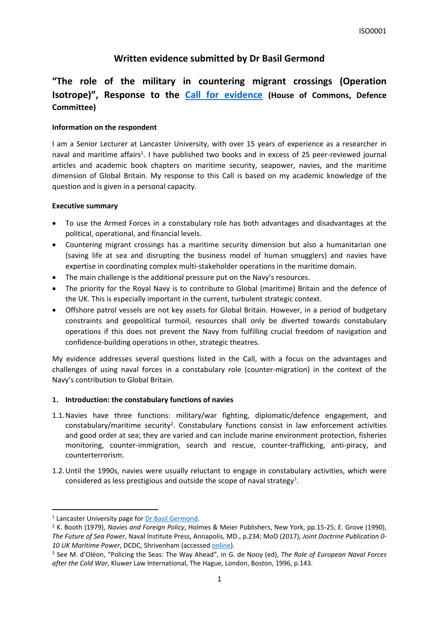# **Written evidence submitted by Dr Basil Germond**

# **"The role of the military in countering migrant crossings (Operation Isotrope)", Response to the [Call](https://committees.parliament.uk/work/6463/the-role-of-the-military-in-countering-migrant-crossings-operation-isotrope/) [for](https://committees.parliament.uk/work/6463/the-role-of-the-military-in-countering-migrant-crossings-operation-isotrope/) [evidence](https://committees.parliament.uk/work/6463/the-role-of-the-military-in-countering-migrant-crossings-operation-isotrope/) (House of Commons, Defence Committee)**

## **Information on the respondent**

I am a Senior Lecturer at Lancaster University, with over 15 years of experience as a researcher in naval and maritime affairs<sup>1</sup>. I have published two books and in excess of 25 peer-reviewed journal articles and academic book chapters on maritime security, seapower, navies, and the maritime dimension of Global Britain. My response to this Call is based on my academic knowledge of the question and is given in a personal capacity.

#### **Executive summary**

- To use the Armed Forces in a constabulary role has both advantages and disadvantages at the political, operational, and financial levels.
- Countering migrant crossings has a maritime security dimension but also a humanitarian one (saving life at sea and disrupting the business model of human smugglers) and navies have expertise in coordinating complex multi-stakeholder operations in the maritime domain.
- The main challenge is the additional pressure put on the Navy's resources.
- The priority for the Royal Navy is to contribute to Global (maritime) Britain and the defence of the UK. This is especially important in the current, turbulent strategic context.
- Offshore patrol vessels are not key assets for Global Britain. However, in a period of budgetary constraints and geopolitical turmoil, resources shall only be diverted towards constabulary operations if this does not prevent the Navy from fulfilling crucial freedom of navigation and confidence-building operations in other, strategic theatres.

My evidence addresses several questions listed in the Call, with a focus on the advantages and challenges of using naval forces in a constabulary role (counter-migration) in the context of the Navy's contribution to Global Britain.

## **1. Introduction: the constabulary functions of navies**

- 1.1.Navies have three functions: military/war fighting, diplomatic/defence engagement, and constabulary/maritime security<sup>2</sup>. Constabulary functions consist in law enforcement activities and good order at sea; they are varied and can include marine environment protection, fisheries monitoring, counter-immigration, search and rescue, counter-trafficking, anti-piracy, and counterterrorism.
- 1.2.Until the 1990s, navies were usually reluctant to engage in constabulary activities, which were considered as less prestigious and outside the scope of naval strategy<sup>3</sup>.

<sup>1</sup> Lancaster University page for [Dr](https://www.lancaster.ac.uk/ppr/people/basil-germond) [Basil](https://www.lancaster.ac.uk/ppr/people/basil-germond) [Germond](https://www.lancaster.ac.uk/ppr/people/basil-germond).

<sup>2</sup> K. Booth (1979), *Navies and Foreign Policy*, Holmes & Meier Publishers, New York, pp.15-25; E. Grove (1990), *The Future of Sea Power*, Naval Institute Press, Annapolis, MD., p.234; MoD (2017), *Joint Doctrine Publication 0- 10 UK Maritime Power*, DCDC, Shrivenham (accessed [online\)](https://assets.publishing.service.gov.uk/government/uploads/system/uploads/attachment_data/file/662000/doctrine_uk_maritime_power_jdp_0_10.pdf).

<sup>3</sup> See M. d'Oléon, "Policing the Seas: The Way Ahead", in G. de Nooy (ed), *The Role of European Naval Forces after the Cold War*, Kluwer Law International, The Hague, London, Boston, 1996, p.143.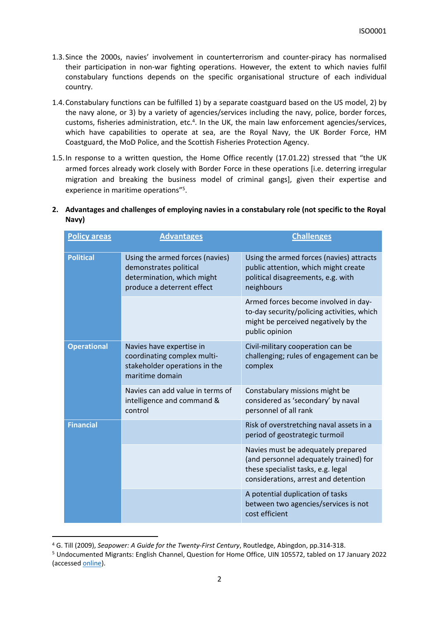- 1.3.Since the 2000s, navies' involvement in counterterrorism and counter-piracy has normalised their participation in non-war fighting operations. However, the extent to which navies fulfil constabulary functions depends on the specific organisational structure of each individual country.
- 1.4.Constabulary functions can be fulfilled 1) by a separate coastguard based on the US model, 2) by the navy alone, or 3) by a variety of agencies/services including the navy, police, border forces, customs, fisheries administration, etc.<sup>4</sup>. In the UK, the main law enforcement agencies/services, which have capabilities to operate at sea, are the Royal Navy, the UK Border Force, HM Coastguard, the MoD Police, and the Scottish Fisheries Protection Agency.
- 1.5.In response to a written question, the Home Office recently (17.01.22) stressed that "the UK armed forces already work closely with Border Force in these operations [i.e. deterring irregular migration and breaking the business model of criminal gangs], given their expertise and experience in maritime operations"<sup>5</sup>.

## **2. Advantages and challenges of employing navies in a constabulary role (not specific to the Royal Navy)**

| <b>Policy areas</b> | <b>Advantages</b>                                                                                                     | <b>Challenges</b>                                                                                                                                          |
|---------------------|-----------------------------------------------------------------------------------------------------------------------|------------------------------------------------------------------------------------------------------------------------------------------------------------|
| <b>Political</b>    | Using the armed forces (navies)<br>demonstrates political<br>determination, which might<br>produce a deterrent effect | Using the armed forces (navies) attracts<br>public attention, which might create<br>political disagreements, e.g. with<br>neighbours                       |
|                     |                                                                                                                       | Armed forces become involved in day-<br>to-day security/policing activities, which<br>might be perceived negatively by the<br>public opinion               |
| <b>Operational</b>  | Navies have expertise in<br>coordinating complex multi-<br>stakeholder operations in the<br>maritime domain           | Civil-military cooperation can be<br>challenging; rules of engagement can be<br>complex                                                                    |
|                     | Navies can add value in terms of<br>intelligence and command &<br>control                                             | Constabulary missions might be<br>considered as 'secondary' by naval<br>personnel of all rank                                                              |
| <b>Financial</b>    |                                                                                                                       | Risk of overstretching naval assets in a<br>period of geostrategic turmoil                                                                                 |
|                     |                                                                                                                       | Navies must be adequately prepared<br>(and personnel adequately trained) for<br>these specialist tasks, e.g. legal<br>considerations, arrest and detention |
|                     |                                                                                                                       | A potential duplication of tasks<br>between two agencies/services is not<br>cost efficient                                                                 |

<sup>4</sup> G. Till (2009), *Seapower: A Guide for the Twenty-First Century*, Routledge, Abingdon, pp.314-318.

<sup>5</sup> Undocumented Migrants: English Channel, Question for Home Office, UIN 105572, tabled on 17 January 2022 (accessed [online\)](https://questions-statements.parliament.uk/written-questions/detail/2022-01-17/105572).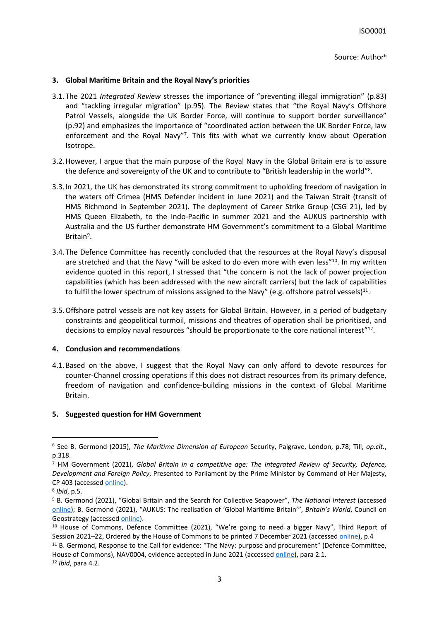#### **3. Global Maritime Britain and the Royal Navy's priorities**

- 3.1.The 2021 *Integrated Review* stresses the importance of "preventing illegal immigration" (p.83) and "tackling irregular migration" (p.95). The Review states that "the Royal Navy's Offshore Patrol Vessels, alongside the UK Border Force, will continue to support border surveillance" (p.92) and emphasizes the importance of "coordinated action between the UK Border Force, law enforcement and the Royal Navy"7. This fits with what we currently know about Operation Isotrope.
- 3.2.However, I argue that the main purpose of the Royal Navy in the Global Britain era is to assure the defence and sovereignty of the UK and to contribute to "British leadership in the world"<sup>8</sup>.
- 3.3.In 2021, the UK has demonstrated its strong commitment to upholding freedom of navigation in the waters off Crimea (HMS Defender incident in June 2021) and the Taiwan Strait (transit of HMS Richmond in September 2021). The deployment of Career Strike Group (CSG 21), led by HMS Queen Elizabeth, to the Indo-Pacific in summer 2021 and the AUKUS partnership with Australia and the US further demonstrate HM Government's commitment to a Global Maritime Britain<sup>9</sup>.
- 3.4.The Defence Committee has recently concluded that the resources at the Royal Navy's disposal are stretched and that the Navy "will be asked to do even more with even less"<sup>10</sup>. In my written evidence quoted in this report, I stressed that "the concern is not the lack of power projection capabilities (which has been addressed with the new aircraft carriers) but the lack of capabilities to fulfil the lower spectrum of missions assigned to the Navy" (e.g. offshore patrol vessels)<sup>11</sup>.
- 3.5.Offshore patrol vessels are not key assets for Global Britain. However, in a period of budgetary constraints and geopolitical turmoil, missions and theatres of operation shall be prioritised, and decisions to employ naval resources "should be proportionate to the core national interest"<sup>12</sup>.

#### **4. Conclusion and recommendations**

4.1.Based on the above, I suggest that the Royal Navy can only afford to devote resources for counter-Channel crossing operations if this does not distract resources from its primary defence, freedom of navigation and confidence-building missions in the context of Global Maritime Britain.

#### **5. Suggested question for HM Government**

<sup>6</sup> See B. Germond (2015), *The Maritime Dimension of European* Security, Palgrave, London, p.78; Till, *op.cit.*, p.318.

<sup>7</sup> HM Government (2021), *Global Britain in a competitive age: The Integrated Review of Security, Defence, Development and Foreign Policy*, Presented to Parliament by the Prime Minister by Command of Her Majesty, CP 403 (accessed [online\)](https://assets.publishing.service.gov.uk/government/uploads/system/uploads/attachment_data/file/975077/Global_Britain_in_a_Competitive_Age-_the_Integrated_Review_of_Security__Defence__Development_and_Foreign_Policy.pdf).

<sup>8</sup> *Ibid*, p.5.

<sup>9</sup> B. Germond (2021), "Global Britain and the Search for Collective Seapower", *The National Interest* (accessed [online](https://nationalinterest.org/blog/buzz/global-britain-and-search-collective-seapower-195885)); B. Germond (2021), "AUKUS: The realisation of 'Global Maritime Britain'", *Britain's World*, Council on Geostrategy (accessed [online\)](https://www.geostrategy.org.uk/britains-world/aukus-the-realisation-of-global-maritime-britain/).

<sup>&</sup>lt;sup>10</sup> House of Commons, Defence Committee (2021), "We're going to need a bigger Navy", Third Report of Session 2021–22, Ordered by the House of Commons to be printed 7 December 2021 (accessed [online\)](https://committees.parliament.uk/publications/8205/documents/85026/default/), p.4

<sup>&</sup>lt;sup>11</sup> B. Germond, Response to the Call for evidence: "The Navy: purpose and procurement" (Defence Committee, House of Commons), NAV0004, evidence accepted in June 2021 (accessed [online](https://committees.parliament.uk/writtenevidence/36473/pdf/)), para 2.1.

<sup>12</sup> *Ibid*, para 4.2.